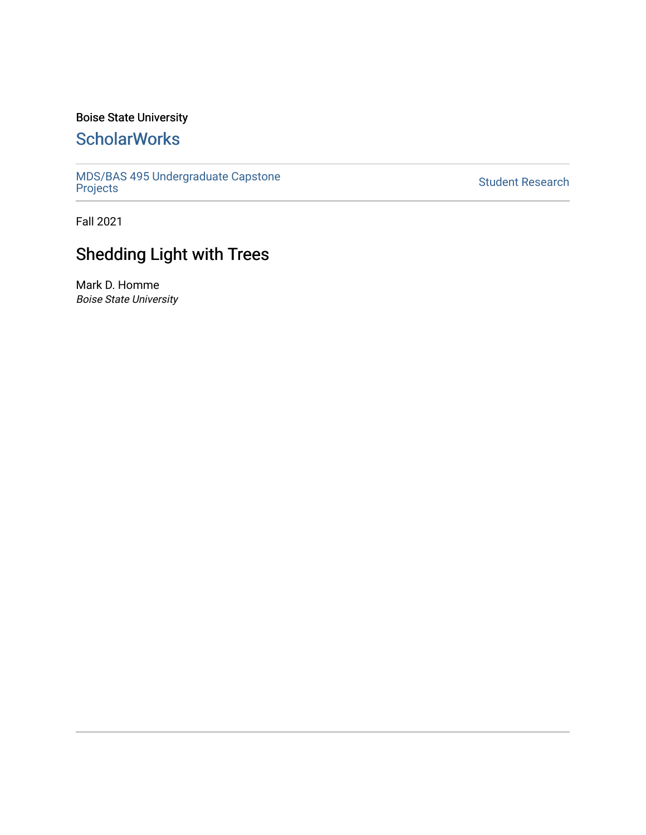# Boise State University

# **ScholarWorks**

[MDS/BAS 495 Undergraduate Capstone](https://scholarworks.boisestate.edu/mds495_proj)  [Projects](https://scholarworks.boisestate.edu/mds495_proj) [Student Research](https://scholarworks.boisestate.edu/student_research) 

Fall 2021

# Shedding Light with Trees

Mark D. Homme Boise State University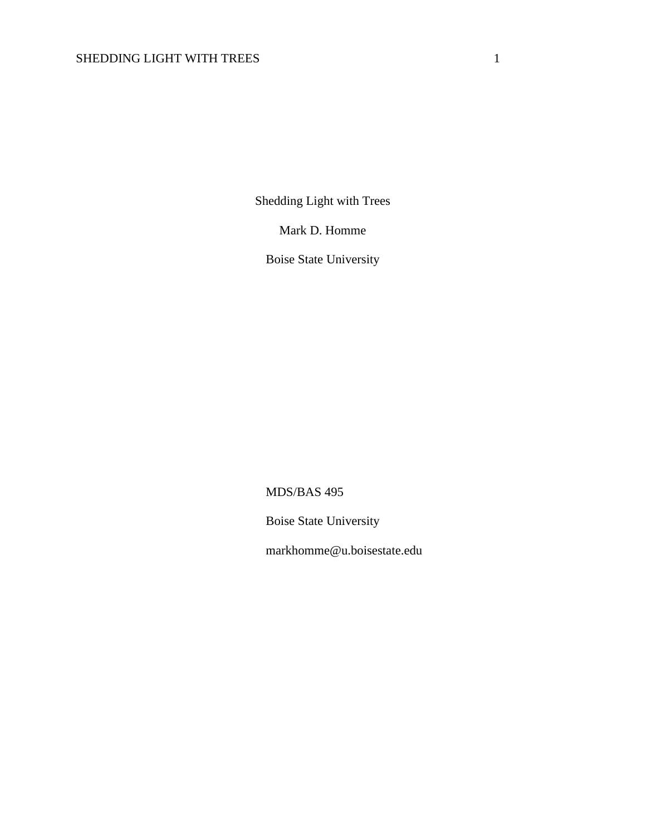Shedding Light with Trees

Mark D. Homme

Boise State University

MDS/BAS 495

Boise State University

markhomme@u.boisestate.edu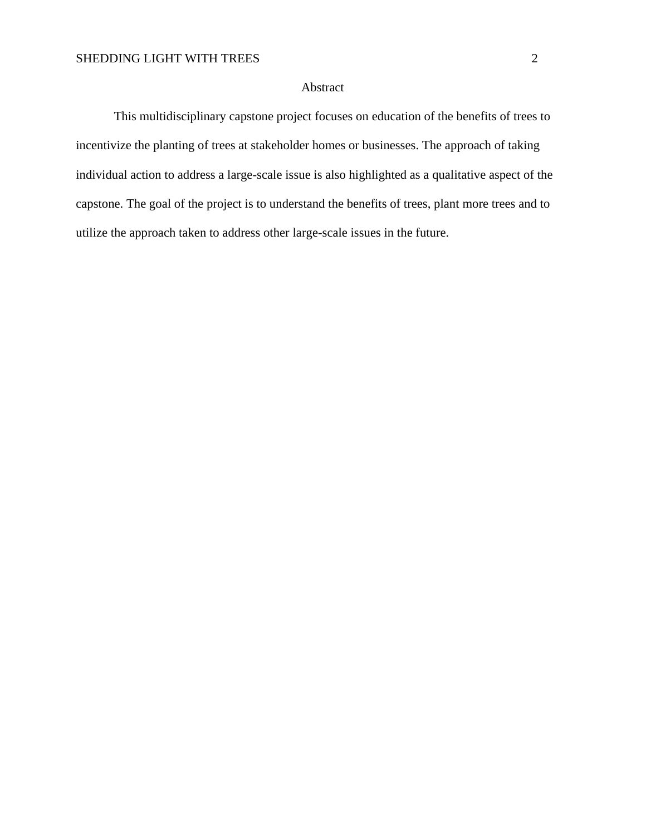#### Abstract

This multidisciplinary capstone project focuses on education of the benefits of trees to incentivize the planting of trees at stakeholder homes or businesses. The approach of taking individual action to address a large-scale issue is also highlighted as a qualitative aspect of the capstone. The goal of the project is to understand the benefits of trees, plant more trees and to utilize the approach taken to address other large-scale issues in the future.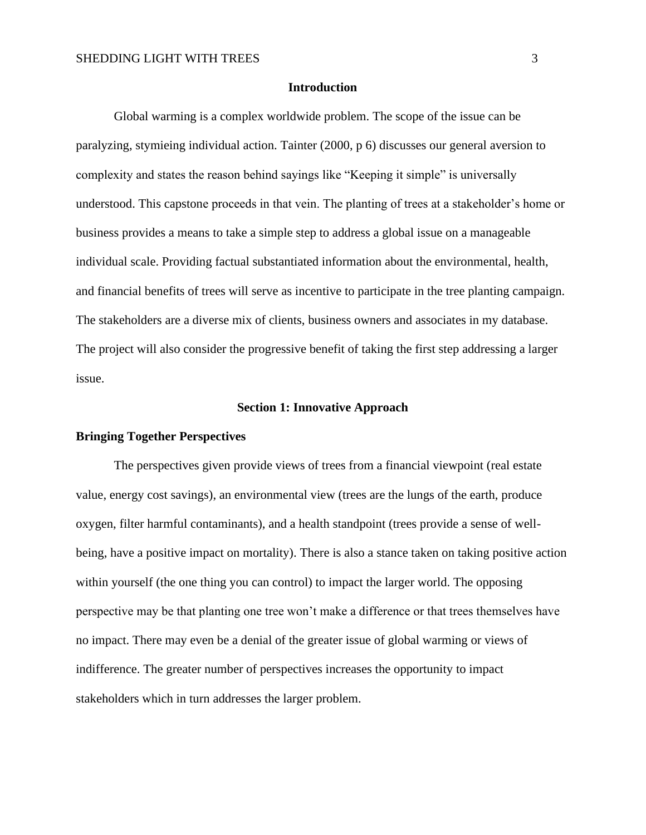#### **Introduction**

Global warming is a complex worldwide problem. The scope of the issue can be paralyzing, stymieing individual action. Tainter (2000, p 6) discusses our general aversion to complexity and states the reason behind sayings like "Keeping it simple" is universally understood. This capstone proceeds in that vein. The planting of trees at a stakeholder's home or business provides a means to take a simple step to address a global issue on a manageable individual scale. Providing factual substantiated information about the environmental, health, and financial benefits of trees will serve as incentive to participate in the tree planting campaign. The stakeholders are a diverse mix of clients, business owners and associates in my database. The project will also consider the progressive benefit of taking the first step addressing a larger issue.

### **Section 1: Innovative Approach**

#### **Bringing Together Perspectives**

The perspectives given provide views of trees from a financial viewpoint (real estate value, energy cost savings), an environmental view (trees are the lungs of the earth, produce oxygen, filter harmful contaminants), and a health standpoint (trees provide a sense of wellbeing, have a positive impact on mortality). There is also a stance taken on taking positive action within yourself (the one thing you can control) to impact the larger world. The opposing perspective may be that planting one tree won't make a difference or that trees themselves have no impact. There may even be a denial of the greater issue of global warming or views of indifference. The greater number of perspectives increases the opportunity to impact stakeholders which in turn addresses the larger problem.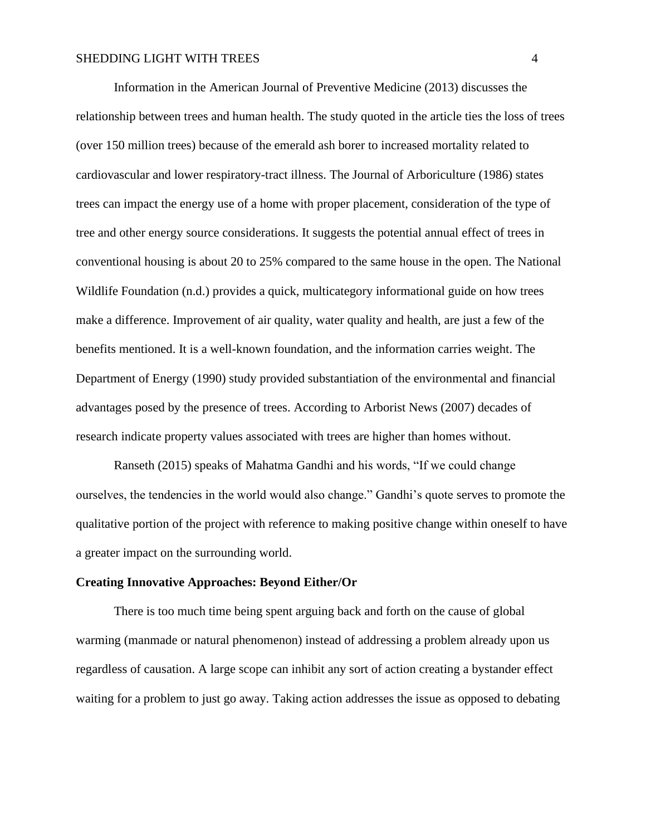Information in the American Journal of Preventive Medicine (2013) discusses the relationship between trees and human health. The study quoted in the article ties the loss of trees (over 150 million trees) because of the emerald ash borer to increased mortality related to cardiovascular and lower respiratory-tract illness. The Journal of Arboriculture (1986) states trees can impact the energy use of a home with proper placement, consideration of the type of tree and other energy source considerations. It suggests the potential annual effect of trees in conventional housing is about 20 to 25% compared to the same house in the open. The National Wildlife Foundation (n.d.) provides a quick, multicategory informational guide on how trees make a difference. Improvement of air quality, water quality and health, are just a few of the benefits mentioned. It is a well-known foundation, and the information carries weight. The Department of Energy (1990) study provided substantiation of the environmental and financial advantages posed by the presence of trees. According to Arborist News (2007) decades of research indicate property values associated with trees are higher than homes without.

Ranseth (2015) speaks of Mahatma Gandhi and his words, "If we could change ourselves, the tendencies in the world would also change." Gandhi's quote serves to promote the qualitative portion of the project with reference to making positive change within oneself to have a greater impact on the surrounding world.

#### **Creating Innovative Approaches: Beyond Either/Or**

There is too much time being spent arguing back and forth on the cause of global warming (manmade or natural phenomenon) instead of addressing a problem already upon us regardless of causation. A large scope can inhibit any sort of action creating a bystander effect waiting for a problem to just go away. Taking action addresses the issue as opposed to debating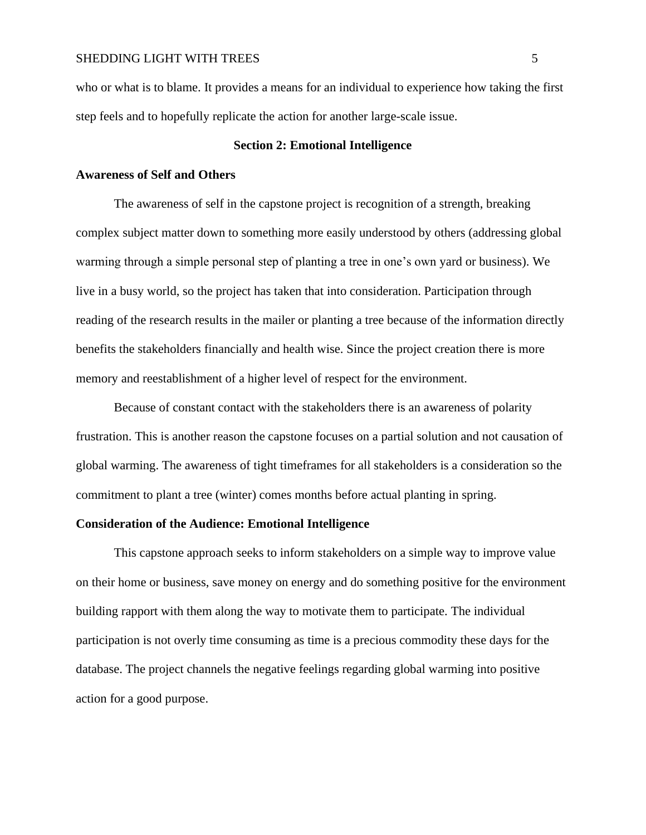who or what is to blame. It provides a means for an individual to experience how taking the first step feels and to hopefully replicate the action for another large-scale issue.

# **Section 2: Emotional Intelligence**

# **Awareness of Self and Others**

The awareness of self in the capstone project is recognition of a strength, breaking complex subject matter down to something more easily understood by others (addressing global warming through a simple personal step of planting a tree in one's own yard or business). We live in a busy world, so the project has taken that into consideration. Participation through reading of the research results in the mailer or planting a tree because of the information directly benefits the stakeholders financially and health wise. Since the project creation there is more memory and reestablishment of a higher level of respect for the environment.

Because of constant contact with the stakeholders there is an awareness of polarity frustration. This is another reason the capstone focuses on a partial solution and not causation of global warming. The awareness of tight timeframes for all stakeholders is a consideration so the commitment to plant a tree (winter) comes months before actual planting in spring.

# **Consideration of the Audience: Emotional Intelligence**

This capstone approach seeks to inform stakeholders on a simple way to improve value on their home or business, save money on energy and do something positive for the environment building rapport with them along the way to motivate them to participate. The individual participation is not overly time consuming as time is a precious commodity these days for the database. The project channels the negative feelings regarding global warming into positive action for a good purpose.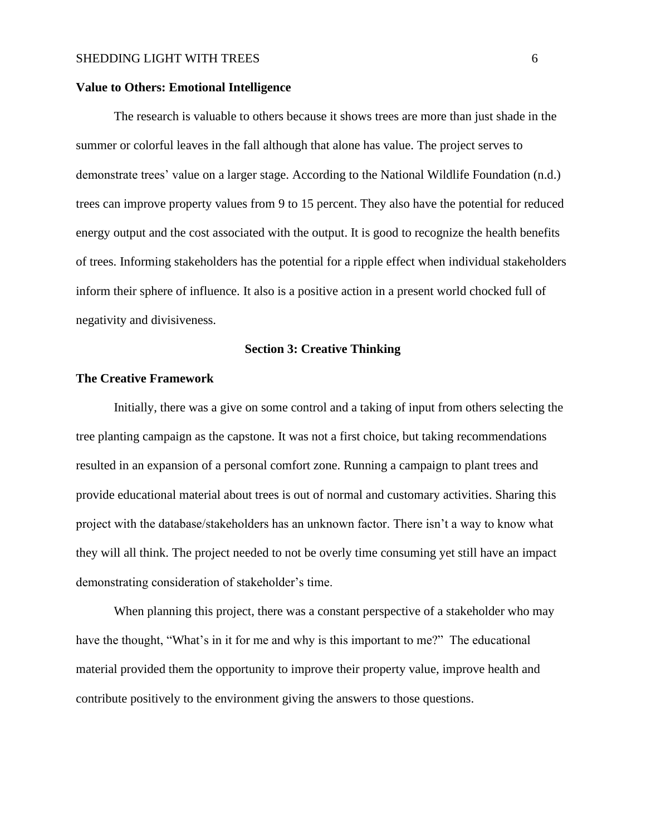# **Value to Others: Emotional Intelligence**

The research is valuable to others because it shows trees are more than just shade in the summer or colorful leaves in the fall although that alone has value. The project serves to demonstrate trees' value on a larger stage. According to the National Wildlife Foundation (n.d.) trees can improve property values from 9 to 15 percent. They also have the potential for reduced energy output and the cost associated with the output. It is good to recognize the health benefits of trees. Informing stakeholders has the potential for a ripple effect when individual stakeholders inform their sphere of influence. It also is a positive action in a present world chocked full of negativity and divisiveness.

# **Section 3: Creative Thinking**

# **The Creative Framework**

Initially, there was a give on some control and a taking of input from others selecting the tree planting campaign as the capstone. It was not a first choice, but taking recommendations resulted in an expansion of a personal comfort zone. Running a campaign to plant trees and provide educational material about trees is out of normal and customary activities. Sharing this project with the database/stakeholders has an unknown factor. There isn't a way to know what they will all think. The project needed to not be overly time consuming yet still have an impact demonstrating consideration of stakeholder's time.

When planning this project, there was a constant perspective of a stakeholder who may have the thought, "What's in it for me and why is this important to me?" The educational material provided them the opportunity to improve their property value, improve health and contribute positively to the environment giving the answers to those questions.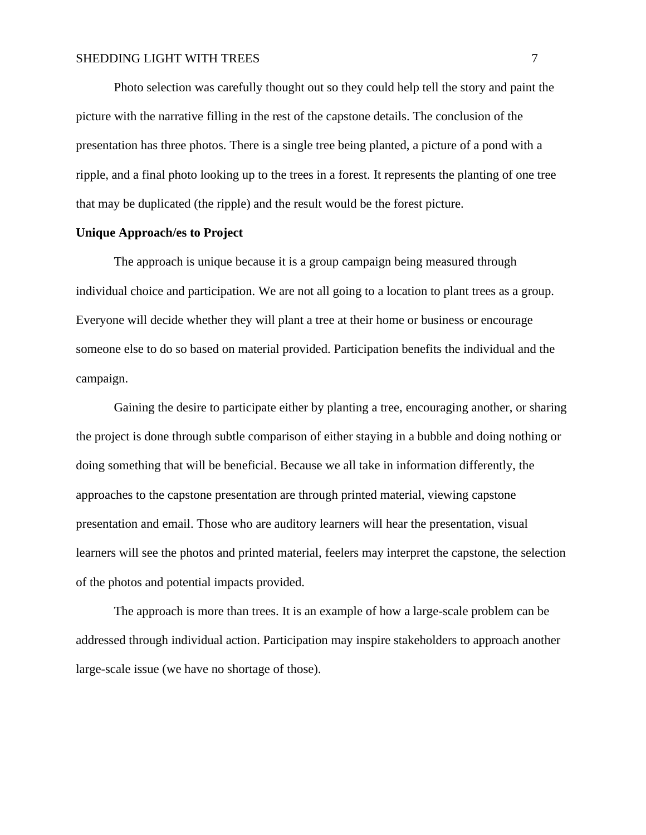Photo selection was carefully thought out so they could help tell the story and paint the picture with the narrative filling in the rest of the capstone details. The conclusion of the presentation has three photos. There is a single tree being planted, a picture of a pond with a ripple, and a final photo looking up to the trees in a forest. It represents the planting of one tree that may be duplicated (the ripple) and the result would be the forest picture.

# **Unique Approach/es to Project**

The approach is unique because it is a group campaign being measured through individual choice and participation. We are not all going to a location to plant trees as a group. Everyone will decide whether they will plant a tree at their home or business or encourage someone else to do so based on material provided. Participation benefits the individual and the campaign.

Gaining the desire to participate either by planting a tree, encouraging another, or sharing the project is done through subtle comparison of either staying in a bubble and doing nothing or doing something that will be beneficial. Because we all take in information differently, the approaches to the capstone presentation are through printed material, viewing capstone presentation and email. Those who are auditory learners will hear the presentation, visual learners will see the photos and printed material, feelers may interpret the capstone, the selection of the photos and potential impacts provided.

The approach is more than trees. It is an example of how a large-scale problem can be addressed through individual action. Participation may inspire stakeholders to approach another large-scale issue (we have no shortage of those).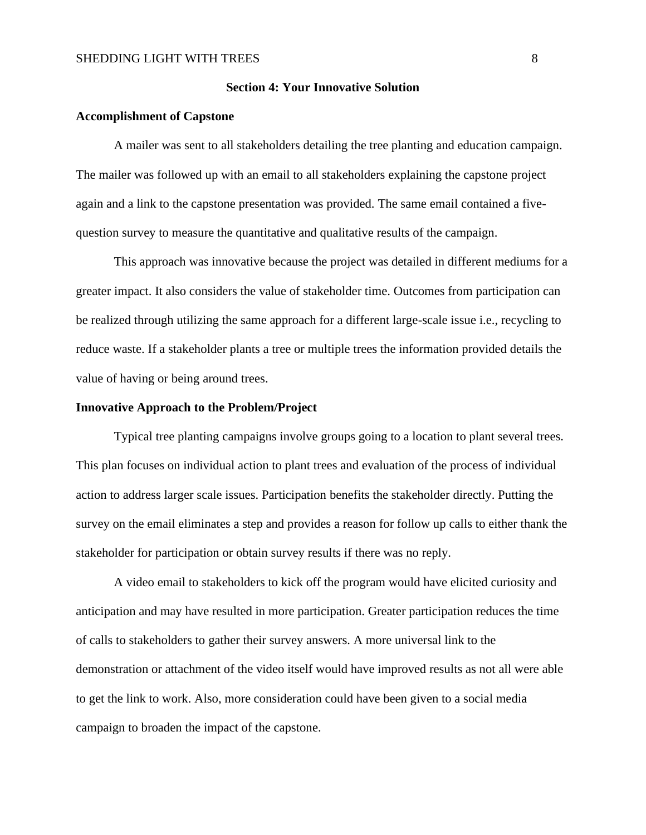### **Section 4: Your Innovative Solution**

#### **Accomplishment of Capstone**

A mailer was sent to all stakeholders detailing the tree planting and education campaign. The mailer was followed up with an email to all stakeholders explaining the capstone project again and a link to the capstone presentation was provided. The same email contained a fivequestion survey to measure the quantitative and qualitative results of the campaign.

This approach was innovative because the project was detailed in different mediums for a greater impact. It also considers the value of stakeholder time. Outcomes from participation can be realized through utilizing the same approach for a different large-scale issue i.e., recycling to reduce waste. If a stakeholder plants a tree or multiple trees the information provided details the value of having or being around trees.

# **Innovative Approach to the Problem/Project**

Typical tree planting campaigns involve groups going to a location to plant several trees. This plan focuses on individual action to plant trees and evaluation of the process of individual action to address larger scale issues. Participation benefits the stakeholder directly. Putting the survey on the email eliminates a step and provides a reason for follow up calls to either thank the stakeholder for participation or obtain survey results if there was no reply.

A video email to stakeholders to kick off the program would have elicited curiosity and anticipation and may have resulted in more participation. Greater participation reduces the time of calls to stakeholders to gather their survey answers. A more universal link to the demonstration or attachment of the video itself would have improved results as not all were able to get the link to work. Also, more consideration could have been given to a social media campaign to broaden the impact of the capstone.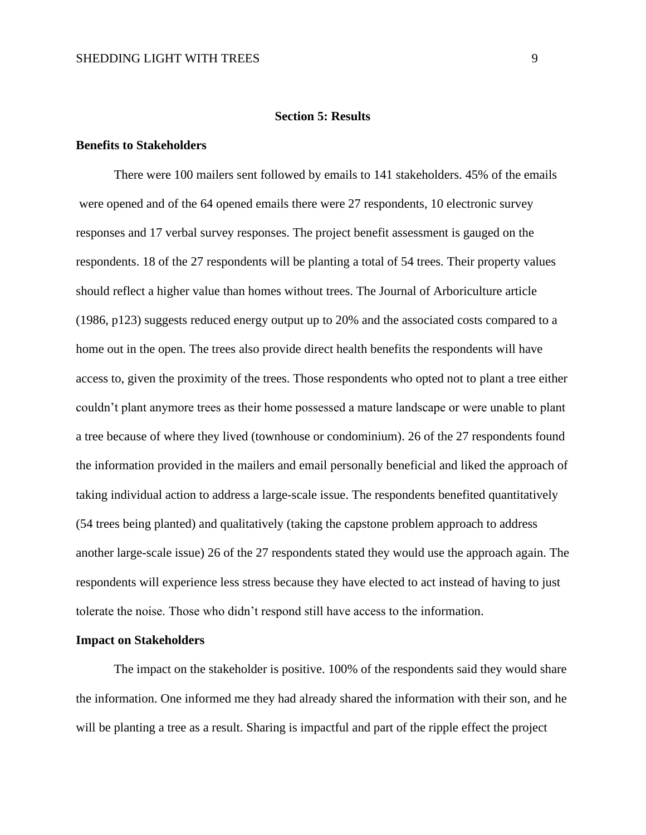#### **Section 5: Results**

# **Benefits to Stakeholders**

There were 100 mailers sent followed by emails to 141 stakeholders. 45% of the emails were opened and of the 64 opened emails there were 27 respondents, 10 electronic survey responses and 17 verbal survey responses. The project benefit assessment is gauged on the respondents. 18 of the 27 respondents will be planting a total of 54 trees. Their property values should reflect a higher value than homes without trees. The Journal of Arboriculture article (1986, p123) suggests reduced energy output up to 20% and the associated costs compared to a home out in the open. The trees also provide direct health benefits the respondents will have access to, given the proximity of the trees. Those respondents who opted not to plant a tree either couldn't plant anymore trees as their home possessed a mature landscape or were unable to plant a tree because of where they lived (townhouse or condominium). 26 of the 27 respondents found the information provided in the mailers and email personally beneficial and liked the approach of taking individual action to address a large-scale issue. The respondents benefited quantitatively (54 trees being planted) and qualitatively (taking the capstone problem approach to address another large-scale issue) 26 of the 27 respondents stated they would use the approach again. The respondents will experience less stress because they have elected to act instead of having to just tolerate the noise. Those who didn't respond still have access to the information.

#### **Impact on Stakeholders**

The impact on the stakeholder is positive. 100% of the respondents said they would share the information. One informed me they had already shared the information with their son, and he will be planting a tree as a result. Sharing is impactful and part of the ripple effect the project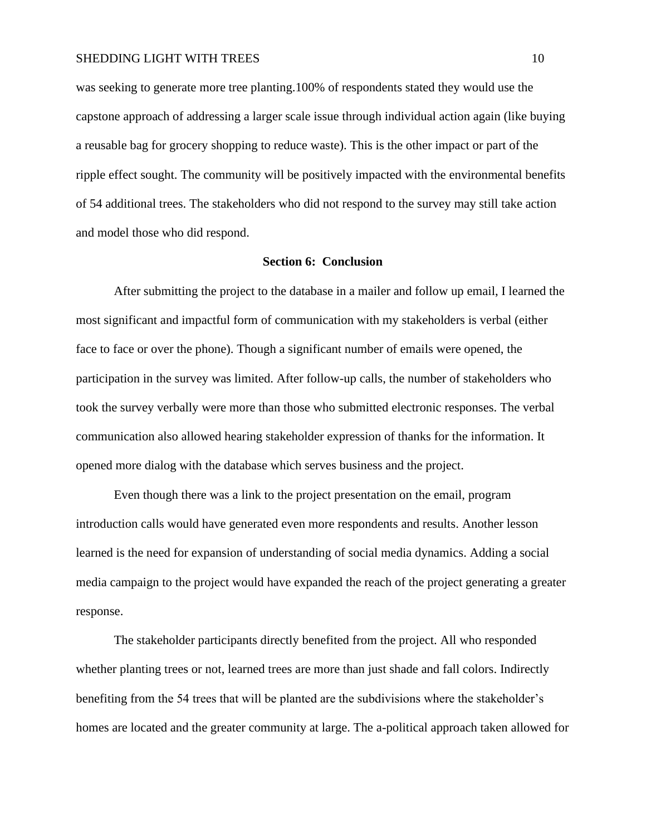was seeking to generate more tree planting.100% of respondents stated they would use the capstone approach of addressing a larger scale issue through individual action again (like buying a reusable bag for grocery shopping to reduce waste). This is the other impact or part of the ripple effect sought. The community will be positively impacted with the environmental benefits of 54 additional trees. The stakeholders who did not respond to the survey may still take action and model those who did respond.

# **Section 6: Conclusion**

After submitting the project to the database in a mailer and follow up email, I learned the most significant and impactful form of communication with my stakeholders is verbal (either face to face or over the phone). Though a significant number of emails were opened, the participation in the survey was limited. After follow-up calls, the number of stakeholders who took the survey verbally were more than those who submitted electronic responses. The verbal communication also allowed hearing stakeholder expression of thanks for the information. It opened more dialog with the database which serves business and the project.

Even though there was a link to the project presentation on the email, program introduction calls would have generated even more respondents and results. Another lesson learned is the need for expansion of understanding of social media dynamics. Adding a social media campaign to the project would have expanded the reach of the project generating a greater response.

The stakeholder participants directly benefited from the project. All who responded whether planting trees or not, learned trees are more than just shade and fall colors. Indirectly benefiting from the 54 trees that will be planted are the subdivisions where the stakeholder's homes are located and the greater community at large. The a-political approach taken allowed for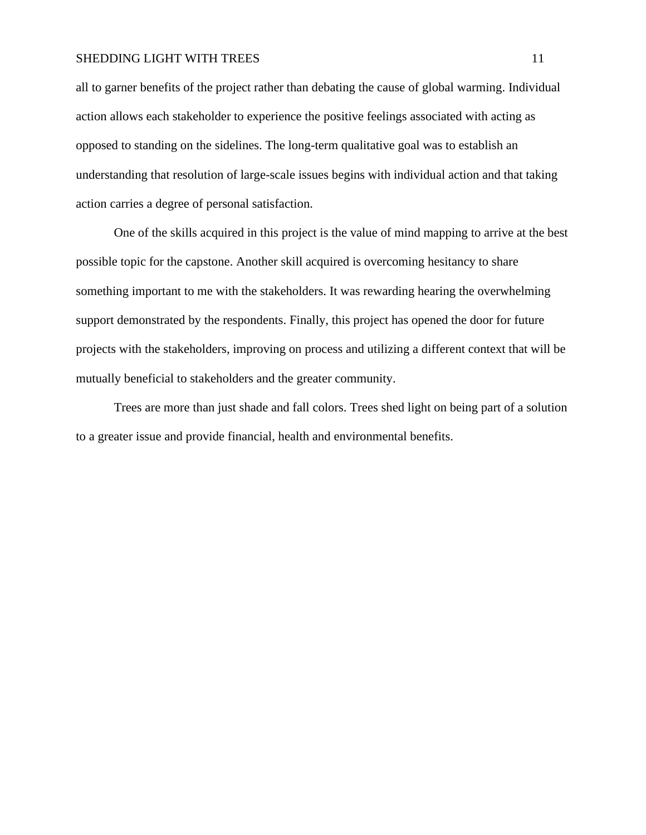all to garner benefits of the project rather than debating the cause of global warming. Individual action allows each stakeholder to experience the positive feelings associated with acting as opposed to standing on the sidelines. The long-term qualitative goal was to establish an understanding that resolution of large-scale issues begins with individual action and that taking action carries a degree of personal satisfaction.

One of the skills acquired in this project is the value of mind mapping to arrive at the best possible topic for the capstone. Another skill acquired is overcoming hesitancy to share something important to me with the stakeholders. It was rewarding hearing the overwhelming support demonstrated by the respondents. Finally, this project has opened the door for future projects with the stakeholders, improving on process and utilizing a different context that will be mutually beneficial to stakeholders and the greater community.

Trees are more than just shade and fall colors. Trees shed light on being part of a solution to a greater issue and provide financial, health and environmental benefits.